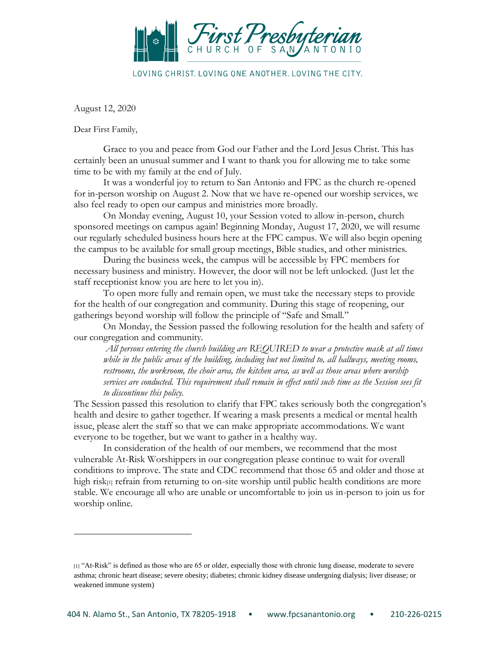

LOVING CHRIST, LOVING ONE ANOTHER, LOVING THE CITY.

August 12, 2020

Dear First Family,

Grace to you and peace from God our Father and the Lord Jesus Christ. This has certainly been an unusual summer and I want to thank you for allowing me to take some time to be with my family at the end of July.

It was a wonderful joy to return to San Antonio and FPC as the church re-opened for in-person worship on August 2. Now that we have re-opened our worship services, we also feel ready to open our campus and ministries more broadly.

On Monday evening, August 10, your Session voted to allow in-person, church sponsored meetings on campus again! Beginning Monday, August 17, 2020, we will resume our regularly scheduled business hours here at the FPC campus. We will also begin opening the campus to be available for small group meetings, Bible studies, and other ministries.

During the business week, the campus will be accessible by FPC members for necessary business and ministry. However, the door will not be left unlocked. (Just let the staff receptionist know you are here to let you in).

To open more fully and remain open, we must take the necessary steps to provide for the health of our congregation and community. During this stage of reopening, our gatherings beyond worship will follow the principle of "Safe and Small."

On Monday, the Session passed the following resolution for the health and safety of our congregation and community.

*All persons entering the church building are REQUIRED to wear a protective mask at all times while in the public areas of the building, including but not limited to, all hallways, meeting rooms, restrooms, the workroom, the choir area, the kitchen area, as well as those areas where worship services are conducted. This requirement shall remain in effect until such time as the Session sees fit to discontinue this policy.*

The Session passed this resolution to clarify that FPC takes seriously both the congregation's health and desire to gather together. If wearing a mask presents a medical or mental health issue, please alert the staff so that we can make appropriate accommodations. We want everyone to be together, but we want to gather in a healthy way.

In consideration of the health of our members, we recommend that the most vulnerable At-Risk Worshippers in our congregation please continue to wait for overall conditions to improve. The state and CDC recommend that those 65 and older and those at high risk<sub>[1]</sub> refrain from returning to on-site worship until public health conditions are more stable. We encourage all who are unable or uncomfortable to join us in-person to join us for worship online.

<sup>[1]</sup> "At-Risk" is defined as those who are 65 or older, especially those with chronic lung disease, moderate to severe asthma; chronic heart disease; severe obesity; diabetes; chronic kidney disease undergoing dialysis; liver disease; or weakened immune system)